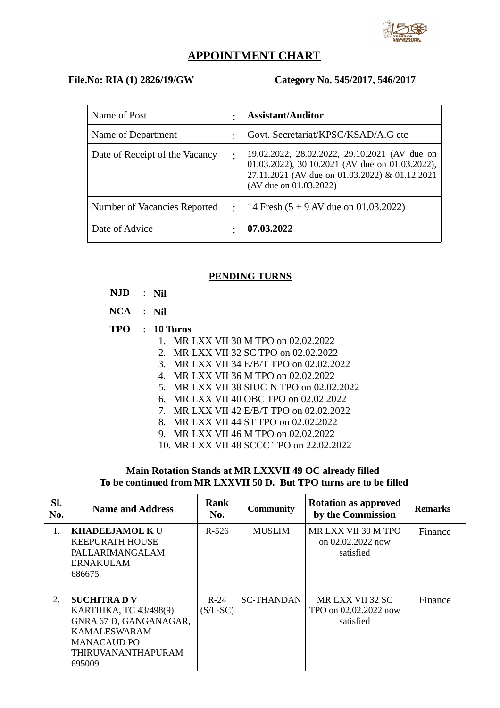

### **APPOINTMENT CHART**

#### **File.No: RIA (1) 2826/19/GW Category No. 545/2017, 546/2017**

| Name of Post                   |           | <b>Assistant/Auditor</b>                                                                                                                                                     |
|--------------------------------|-----------|------------------------------------------------------------------------------------------------------------------------------------------------------------------------------|
| Name of Department             |           | Govt. Secretariat/KPSC/KSAD/A.G etc                                                                                                                                          |
| Date of Receipt of the Vacancy |           | 19.02.2022, 28.02.2022, 29.10.2021 (AV due on<br>01.03.2022), 30.10.2021 (AV due on 01.03.2022),<br>27.11.2021 (AV due on 01.03.2022) & 01.12.2021<br>(AV due on 01.03.2022) |
| Number of Vacancies Reported   | $\bullet$ | 14 Fresh (5 + 9 AV due on 01.03.2022)                                                                                                                                        |
| Date of Advice                 | ٠         | 07.03.2022                                                                                                                                                                   |

#### **PENDING TURNS**

- **NJD** : **Nil**
- **NCA** : **Nil**
- **TPO** : **10 Turns**
	- 1. MR LXX VII 30 M TPO on 02.02.2022
	- 2. MR LXX VII 32 SC TPO on 02.02.2022
	- 3. MR LXX VII 34 E/B/T TPO on 02.02.2022
	- 4. MR LXX VII 36 M TPO on 02.02.2022
	- 5. MR LXX VII 38 SIUC-N TPO on 02.02.2022
	- 6. MR LXX VII 40 OBC TPO on 02.02.2022
	- 7. MR LXX VII 42 E/B/T TPO on 02.02.2022
	- 8. MR LXX VII 44 ST TPO on 02.02.2022
	- 9. MR LXX VII 46 M TPO on 02.02.2022
	- 10. MR LXX VII 48 SCCC TPO on 22.02.2022

#### **Main Rotation Stands at MR LXXVII 49 OC already filled To be continued from MR LXXVII 50 D. But TPO turns are to be filled**

| SI.<br>No. | <b>Name and Address</b>                                                                                                                             | Rank<br>No.          | <b>Community</b>  | <b>Rotation as approved</b><br>by the Commission        | <b>Remarks</b> |
|------------|-----------------------------------------------------------------------------------------------------------------------------------------------------|----------------------|-------------------|---------------------------------------------------------|----------------|
| 1.         | <b>KHADEEJAMOL K U</b><br><b>KEEPURATH HOUSE</b><br>PALLARIMANGALAM<br><b>ERNAKULAM</b><br>686675                                                   | $R-526$              | <b>MUSLIM</b>     | MR LXX VII 30 M TPO<br>on $02.02.2022$ now<br>satisfied | Finance        |
| 2.         | <b>SUCHITRAD V</b><br>KARTHIKA, TC 43/498(9)<br>GNRA 67 D, GANGANAGAR,<br><b>KAMALESWARAM</b><br><b>MANACAUD PO</b><br>THIRUVANANTHAPURAM<br>695009 | $R-24$<br>$(S/L-SC)$ | <b>SC-THANDAN</b> | MR LXX VII 32 SC<br>TPO on 02.02.2022 now<br>satisfied  | Finance        |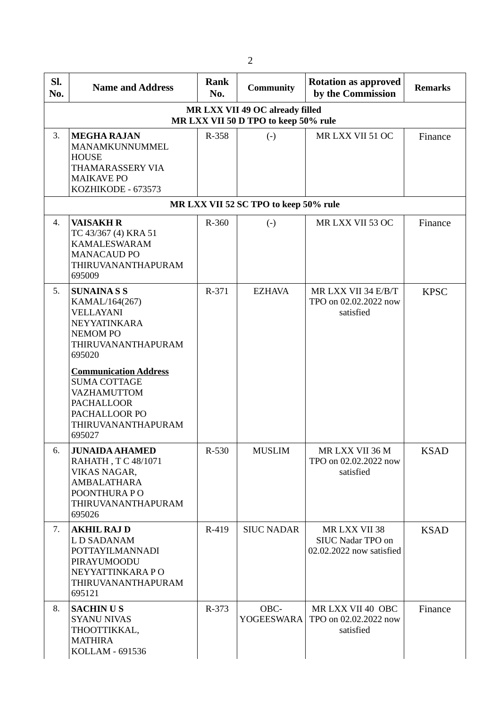| SI.<br>No. | <b>Name and Address</b>                                                                                                                  | Rank<br>No. | <b>Community</b>                      | <b>Rotation as approved</b><br>by the Commission               | <b>Remarks</b> |  |  |  |  |
|------------|------------------------------------------------------------------------------------------------------------------------------------------|-------------|---------------------------------------|----------------------------------------------------------------|----------------|--|--|--|--|
|            | MR LXX VII 49 OC already filled<br>MR LXX VII 50 D TPO to keep 50% rule                                                                  |             |                                       |                                                                |                |  |  |  |  |
| 3.         | <b>MEGHA RAJAN</b><br>MANAMKUNNUMMEL<br><b>HOUSE</b><br>THAMARASSERY VIA<br><b>MAIKAVE PO</b><br>KOZHIKODE - 673573                      | R-358       | $\left( -\right)$                     | MR LXX VII 51 OC                                               | Finance        |  |  |  |  |
|            |                                                                                                                                          |             | MR LXX VII 52 SC TPO to keep 50% rule |                                                                |                |  |  |  |  |
| 4.         | <b>VAISAKH R</b><br>TC 43/367 (4) KRA 51<br><b>KAMALESWARAM</b><br><b>MANACAUD PO</b><br>THIRUVANANTHAPURAM<br>695009                    | R-360       | $\left( -\right)$                     | MR LXX VII 53 OC                                               | Finance        |  |  |  |  |
| 5.         | <b>SUNAINASS</b><br>KAMAL/164(267)<br><b>VELLAYANI</b><br>NEYYATINKARA<br><b>NEMOMPO</b><br>THIRUVANANTHAPURAM<br>695020                 | R-371       | <b>EZHAVA</b>                         | MR LXX VII 34 E/B/T<br>TPO on 02.02.2022 now<br>satisfied      | <b>KPSC</b>    |  |  |  |  |
|            | <b>Communication Address</b><br><b>SUMA COTTAGE</b><br>VAZHAMUTTOM<br><b>PACHALLOOR</b><br>PACHALLOOR PO<br>THIRUVANANTHAPURAM<br>695027 |             |                                       |                                                                |                |  |  |  |  |
| 6.         | <b>JUNAIDA AHAMED</b><br>RAHATH, TC 48/1071<br>VIKAS NAGAR,<br><b>AMBALATHARA</b><br>POONTHURA PO<br>THIRUVANANTHAPURAM<br>695026        | $R-530$     | <b>MUSLIM</b>                         | MR LXX VII 36 M<br>TPO on 02.02.2022 now<br>satisfied          | <b>KSAD</b>    |  |  |  |  |
| 7.         | <b>AKHIL RAJ D</b><br>L D SADANAM<br><b>POTTAYILMANNADI</b><br>PIRAYUMOODU<br>NEYYATTINKARA PO<br>THIRUVANANTHAPURAM<br>695121           | R-419       | <b>SIUC NADAR</b>                     | MR LXX VII 38<br>SIUC Nadar TPO on<br>02.02.2022 now satisfied | <b>KSAD</b>    |  |  |  |  |
| 8.         | <b>SACHINUS</b><br><b>SYANU NIVAS</b><br>THOOTTIKKAL,<br><b>MATHIRA</b><br>KOLLAM - 691536                                               | R-373       | OBC-<br><b>YOGEESWARA</b>             | MR LXX VII 40 OBC<br>TPO on 02.02.2022 now<br>satisfied        | Finance        |  |  |  |  |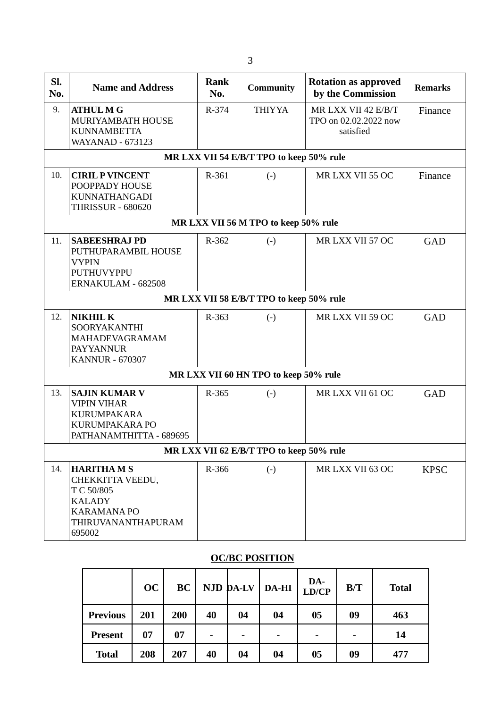| SI.                                      | <b>Name and Address</b>                                                                                                   | <b>Rank</b> | <b>Community</b>                         | <b>Rotation as approved</b>                               | <b>Remarks</b> |  |  |
|------------------------------------------|---------------------------------------------------------------------------------------------------------------------------|-------------|------------------------------------------|-----------------------------------------------------------|----------------|--|--|
| No.                                      |                                                                                                                           | No.         |                                          | by the Commission                                         |                |  |  |
| 9.                                       | <b>ATHUL M G</b><br>MURIYAMBATH HOUSE<br><b>KUNNAMBETTA</b><br><b>WAYANAD - 673123</b>                                    | R-374       | <b>THIYYA</b>                            | MR LXX VII 42 E/B/T<br>TPO on 02.02.2022 now<br>satisfied | Finance        |  |  |
|                                          |                                                                                                                           |             | MR LXX VII 54 E/B/T TPO to keep 50% rule |                                                           |                |  |  |
| 10.                                      | <b>CIRIL P VINCENT</b><br>POOPPADY HOUSE<br><b>KUNNATHANGADI</b><br><b>THRISSUR - 680620</b>                              | R-361       | $\left( -\right)$                        | MR LXX VII 55 OC                                          | Finance        |  |  |
|                                          |                                                                                                                           |             | MR LXX VII 56 M TPO to keep 50% rule     |                                                           |                |  |  |
| 11.                                      | <b>SABEESHRAJ PD</b><br>PUTHUPARAMBIL HOUSE<br><b>VYPIN</b><br>PUTHUVYPPU<br>ERNAKULAM - 682508                           | R-362       | $\left( \cdot \right)$                   | MR LXX VII 57 OC                                          | GAD            |  |  |
|                                          |                                                                                                                           |             | MR LXX VII 58 E/B/T TPO to keep 50% rule |                                                           |                |  |  |
| 12.                                      | <b>NIKHIL K</b><br>SOORYAKANTHI<br>MAHADEVAGRAMAM<br><b>PAYYANNUR</b><br><b>KANNUR - 670307</b>                           | R-363       | $\left( -\right)$                        | MR LXX VII 59 OC                                          | GAD            |  |  |
|                                          |                                                                                                                           |             | MR LXX VII 60 HN TPO to keep 50% rule    |                                                           |                |  |  |
| 13.                                      | <b>SAJIN KUMAR V</b><br><b>VIPIN VIHAR</b><br><b>KURUMPAKARA</b><br>KURUMPAKARA PO<br>PATHANAMTHITTA - 689695             | R-365       | $\left( -\right)$                        | MR LXX VII 61 OC                                          | GAD            |  |  |
| MR LXX VII 62 E/B/T TPO to keep 50% rule |                                                                                                                           |             |                                          |                                                           |                |  |  |
| 14.                                      | <b>HARITHAMS</b><br>CHEKKITTA VEEDU,<br>T C 50/805<br><b>KALADY</b><br><b>KARAMANA PO</b><br>THIRUVANANTHAPURAM<br>695002 | R-366       | $\left( \cdot \right)$                   | MR LXX VII 63 OC                                          | <b>KPSC</b>    |  |  |

# **OC/BC POSITION**

|                 | OC  | <b>BC</b> |                          | <b>NJD DA-LV</b> | <b>DA-HI</b>             | DA-<br>LD/CP             | B/T                      | <b>Total</b> |
|-----------------|-----|-----------|--------------------------|------------------|--------------------------|--------------------------|--------------------------|--------------|
| <b>Previous</b> | 201 | 200       | 40                       | 04               | 04                       | 05                       | 09                       | 463          |
| <b>Present</b>  | 07  | 07        | $\overline{\phantom{0}}$ | -                | $\overline{\phantom{0}}$ | $\overline{\phantom{0}}$ | $\overline{\phantom{0}}$ | 14           |
| <b>Total</b>    | 208 | 207       | 40                       | 04               | 04                       | 05                       | 09                       | 477          |

3